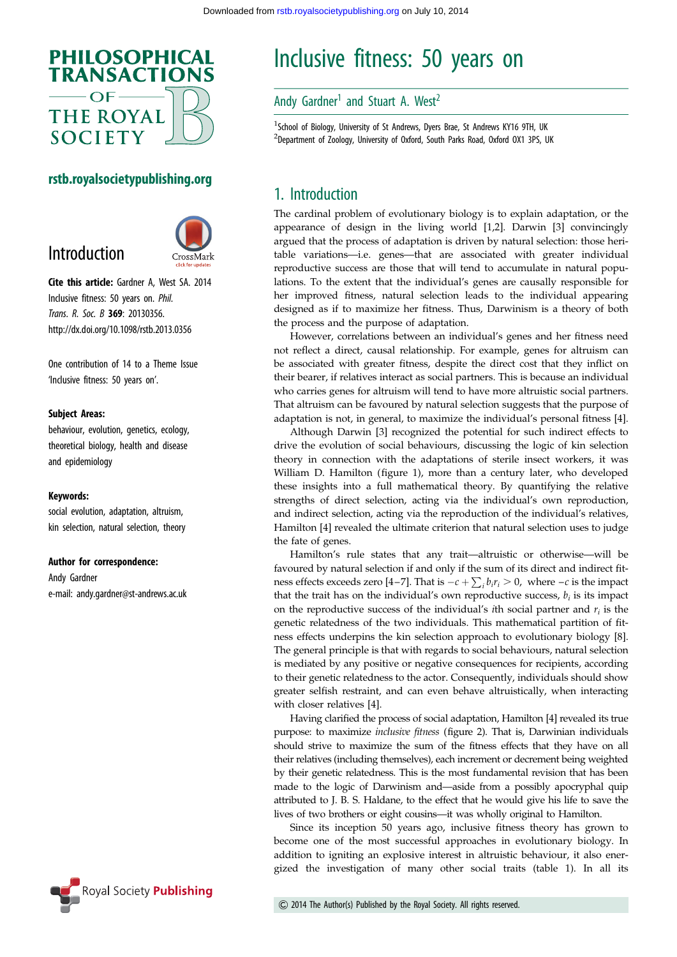

## rstb.royalsocietypublishing.org

# Introduction



Cite this article: Gardner A, West SA. 2014 Inclusive fitness: 50 years on. Phil. Trans. R. Soc. B 369: 20130356. http://dx.doi.org/10.1098/rstb.2013.0356

One contribution of 14 to a Theme Issue 'Inclusive fitness: 50 years on'.

## Subject Areas:

behaviour, evolution, genetics, ecology, theoretical biology, health and disease and epidemiology

#### Keywords:

social evolution, adaptation, altruism, kin selection, natural selection, theory

## Author for correspondence:

Andy Gardner e-mail: [andy.gardner@st-andrews.ac.uk](mailto:andy.gardner@st-andrews.ac.uk)



# Inclusive fitness: 50 years on

## Andy Gardner<sup>1</sup> and Stuart A. West<sup>2</sup>

<sup>1</sup>School of Biology, University of St Andrews, Dyers Brae, St Andrews KY16 9TH, UK <sup>2</sup>Department of Zoology, University of Oxford, South Parks Road, Oxford OX1 3PS, UK

# 1. Introduction

The cardinal problem of evolutionary biology is to explain adaptation, or the appearance of design in the living world [\[1,2\]](#page-2-0). Darwin [[3](#page-2-0)] convincingly argued that the process of adaptation is driven by natural selection: those heritable variations—i.e. genes—that are associated with greater individual reproductive success are those that will tend to accumulate in natural populations. To the extent that the individual's genes are causally responsible for her improved fitness, natural selection leads to the individual appearing designed as if to maximize her fitness. Thus, Darwinism is a theory of both the process and the purpose of adaptation.

However, correlations between an individual's genes and her fitness need not reflect a direct, causal relationship. For example, genes for altruism can be associated with greater fitness, despite the direct cost that they inflict on their bearer, if relatives interact as social partners. This is because an individual who carries genes for altruism will tend to have more altruistic social partners. That altruism can be favoured by natural selection suggests that the purpose of adaptation is not, in general, to maximize the individual's personal fitness [\[4\]](#page-2-0).

Although Darwin [\[3\]](#page-2-0) recognized the potential for such indirect effects to drive the evolution of social behaviours, discussing the logic of kin selection theory in connection with the adaptations of sterile insect workers, it was William D. Hamilton ([figure 1](#page-1-0)), more than a century later, who developed these insights into a full mathematical theory. By quantifying the relative strengths of direct selection, acting via the individual's own reproduction, and indirect selection, acting via the reproduction of the individual's relatives, Hamilton [\[4\]](#page-2-0) revealed the ultimate criterion that natural selection uses to judge the fate of genes.

Hamilton's rule states that any trait—altruistic or otherwise—will be favoured by natural selection if and only if the sum of its direct and indirect fit-ness effects exceeds zero [[4](#page-2-0)–[7](#page-2-0)]. That is  $-c + \sum_i b_i r_i > 0$ , where  $-c$  is the impact that the trait has on the individual's own reproductive success,  $b_i$  is its impact on the reproductive success of the individual's *i*th social partner and  $r_i$  is the genetic relatedness of the two individuals. This mathematical partition of fitness effects underpins the kin selection approach to evolutionary biology [\[8\]](#page-2-0). The general principle is that with regards to social behaviours, natural selection is mediated by any positive or negative consequences for recipients, according to their genetic relatedness to the actor. Consequently, individuals should show greater selfish restraint, and can even behave altruistically, when interacting with closer relatives [\[4\]](#page-2-0).

Having clarified the process of social adaptation, Hamilton [\[4](#page-2-0)] revealed its true purpose: to maximize inclusive fitness [\(figure 2\)](#page-1-0). That is, Darwinian individuals should strive to maximize the sum of the fitness effects that they have on all their relatives (including themselves), each increment or decrement being weighted by their genetic relatedness. This is the most fundamental revision that has been made to the logic of Darwinism and—aside from a possibly apocryphal quip attributed to J. B. S. Haldane, to the effect that he would give his life to save the lives of two brothers or eight cousins—it was wholly original to Hamilton.

Since its inception 50 years ago, inclusive fitness theory has grown to become one of the most successful approaches in evolutionary biology. In addition to igniting an explosive interest in altruistic behaviour, it also energized the investigation of many other social traits ([table 1\)](#page-2-0). In all its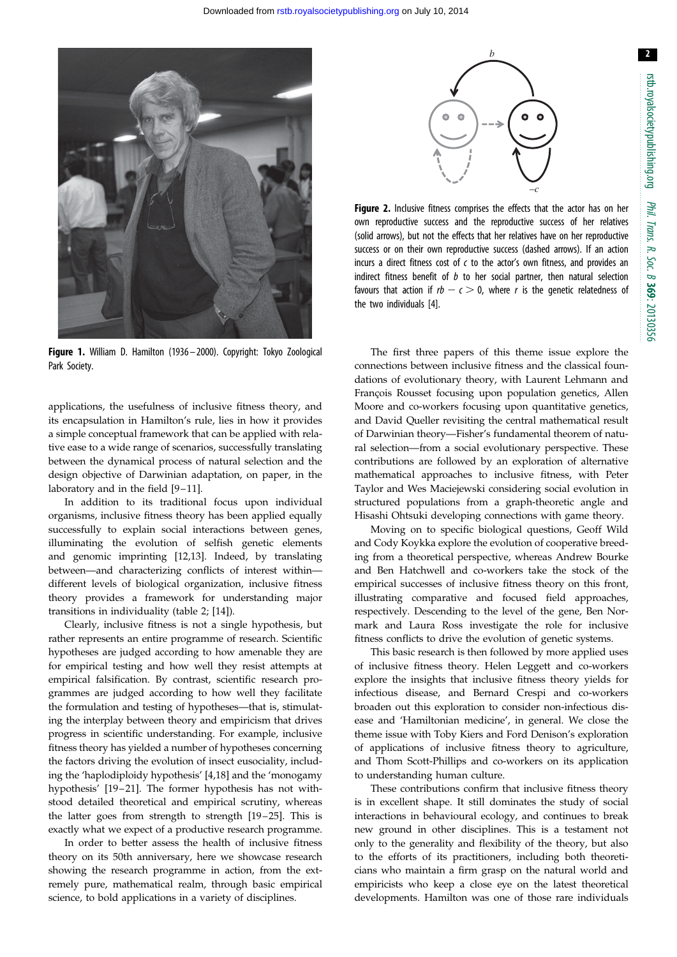2

<span id="page-1-0"></span>

Figure 1. William D. Hamilton (1936– 2000). Copyright: Tokyo Zoological Park Society.

applications, the usefulness of inclusive fitness theory, and its encapsulation in Hamilton's rule, lies in how it provides a simple conceptual framework that can be applied with relative ease to a wide range of scenarios, successfully translating between the dynamical process of natural selection and the design objective of Darwinian adaptation, on paper, in the laboratory and in the field [[9](#page-2-0)–[11](#page-2-0)].

In addition to its traditional focus upon individual organisms, inclusive fitness theory has been applied equally successfully to explain social interactions between genes, illuminating the evolution of selfish genetic elements and genomic imprinting [\[12](#page-2-0),[13\]](#page-2-0). Indeed, by translating between—and characterizing conflicts of interest within different levels of biological organization, inclusive fitness theory provides a framework for understanding major transitions in individuality ([table 2](#page-2-0); [[14\]](#page-2-0)).

Clearly, inclusive fitness is not a single hypothesis, but rather represents an entire programme of research. Scientific hypotheses are judged according to how amenable they are for empirical testing and how well they resist attempts at empirical falsification. By contrast, scientific research programmes are judged according to how well they facilitate the formulation and testing of hypotheses—that is, stimulating the interplay between theory and empiricism that drives progress in scientific understanding. For example, inclusive fitness theory has yielded a number of hypotheses concerning the factors driving the evolution of insect eusociality, including the 'haplodiploidy hypothesis' [\[4,18\]](#page-2-0) and the 'monogamy hypothesis' [\[19](#page-2-0)–[21](#page-2-0)]. The former hypothesis has not withstood detailed theoretical and empirical scrutiny, whereas the latter goes from strength to strength [\[19](#page-2-0)–[25](#page-2-0)]. This is exactly what we expect of a productive research programme.

In order to better assess the health of inclusive fitness theory on its 50th anniversary, here we showcase research showing the research programme in action, from the extremely pure, mathematical realm, through basic empirical science, to bold applications in a variety of disciplines.



Figure 2. Inclusive fitness comprises the effects that the actor has on her own reproductive success and the reproductive success of her relatives (solid arrows), but not the effects that her relatives have on her reproductive success or on their own reproductive success (dashed arrows). If an action incurs a direct fitness cost of c to the actor's own fitness, and provides an indirect fitness benefit of  $b$  to her social partner, then natural selection favours that action if  $rb - c > 0$ , where r is the genetic relatedness of the two individuals [\[4\]](#page-2-0).

The first three papers of this theme issue explore the connections between inclusive fitness and the classical foundations of evolutionary theory, with Laurent Lehmann and François Rousset focusing upon population genetics, Allen Moore and co-workers focusing upon quantitative genetics, and David Queller revisiting the central mathematical result of Darwinian theory—Fisher's fundamental theorem of natural selection—from a social evolutionary perspective. These contributions are followed by an exploration of alternative mathematical approaches to inclusive fitness, with Peter Taylor and Wes Maciejewski considering social evolution in structured populations from a graph-theoretic angle and Hisashi Ohtsuki developing connections with game theory.

Moving on to specific biological questions, Geoff Wild and Cody Koykka explore the evolution of cooperative breeding from a theoretical perspective, whereas Andrew Bourke and Ben Hatchwell and co-workers take the stock of the empirical successes of inclusive fitness theory on this front, illustrating comparative and focused field approaches, respectively. Descending to the level of the gene, Ben Normark and Laura Ross investigate the role for inclusive fitness conflicts to drive the evolution of genetic systems.

This basic research is then followed by more applied uses of inclusive fitness theory. Helen Leggett and co-workers explore the insights that inclusive fitness theory yields for infectious disease, and Bernard Crespi and co-workers broaden out this exploration to consider non-infectious disease and 'Hamiltonian medicine', in general. We close the theme issue with Toby Kiers and Ford Denison's exploration of applications of inclusive fitness theory to agriculture, and Thom Scott-Phillips and co-workers on its application to understanding human culture.

These contributions confirm that inclusive fitness theory is in excellent shape. It still dominates the study of social interactions in behavioural ecology, and continues to break new ground in other disciplines. This is a testament not only to the generality and flexibility of the theory, but also to the efforts of its practitioners, including both theoreticians who maintain a firm grasp on the natural world and empiricists who keep a close eye on the latest theoretical developments. Hamilton was one of those rare individuals